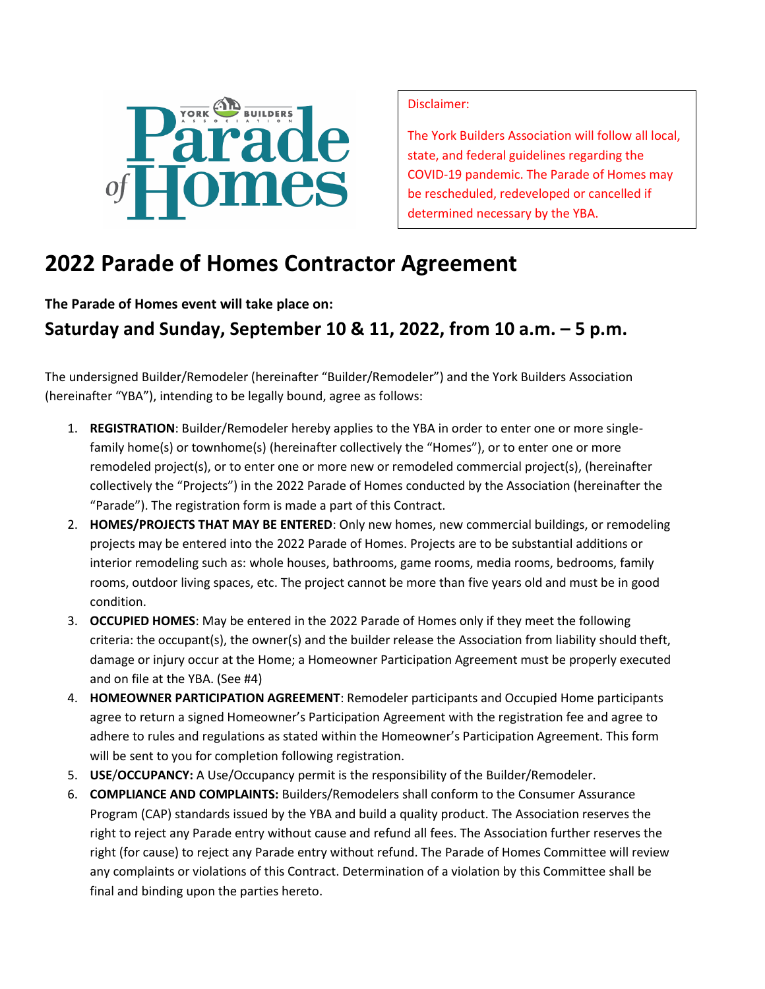

Disclaimer:

The York Builders Association will follow all local, state, and federal guidelines regarding the COVID-19 pandemic. The Parade of Homes may be rescheduled, redeveloped or cancelled if determined necessary by the YBA.

## **2022 Parade of Homes Contractor Agreement**

**The Parade of Homes event will take place on:**

**Saturday and Sunday, September 10 & 11, 2022, from 10 a.m. – 5 p.m.**

The undersigned Builder/Remodeler (hereinafter "Builder/Remodeler") and the York Builders Association (hereinafter "YBA"), intending to be legally bound, agree as follows:

- 1. **REGISTRATION**: Builder/Remodeler hereby applies to the YBA in order to enter one or more singlefamily home(s) or townhome(s) (hereinafter collectively the "Homes"), or to enter one or more remodeled project(s), or to enter one or more new or remodeled commercial project(s), (hereinafter collectively the "Projects") in the 2022 Parade of Homes conducted by the Association (hereinafter the "Parade"). The registration form is made a part of this Contract.
- 2. **HOMES/PROJECTS THAT MAY BE ENTERED**: Only new homes, new commercial buildings, or remodeling projects may be entered into the 2022 Parade of Homes. Projects are to be substantial additions or interior remodeling such as: whole houses, bathrooms, game rooms, media rooms, bedrooms, family rooms, outdoor living spaces, etc. The project cannot be more than five years old and must be in good condition.
- 3. **OCCUPIED HOMES**: May be entered in the 2022 Parade of Homes only if they meet the following criteria: the occupant(s), the owner(s) and the builder release the Association from liability should theft, damage or injury occur at the Home; a Homeowner Participation Agreement must be properly executed and on file at the YBA. (See #4)
- 4. **HOMEOWNER PARTICIPATION AGREEMENT**: Remodeler participants and Occupied Home participants agree to return a signed Homeowner's Participation Agreement with the registration fee and agree to adhere to rules and regulations as stated within the Homeowner's Participation Agreement. This form will be sent to you for completion following registration.
- 5. **USE**/**OCCUPANCY:** A Use/Occupancy permit is the responsibility of the Builder/Remodeler.
- 6. **COMPLIANCE AND COMPLAINTS:** Builders/Remodelers shall conform to the Consumer Assurance Program (CAP) standards issued by the YBA and build a quality product. The Association reserves the right to reject any Parade entry without cause and refund all fees. The Association further reserves the right (for cause) to reject any Parade entry without refund. The Parade of Homes Committee will review any complaints or violations of this Contract. Determination of a violation by this Committee shall be final and binding upon the parties hereto.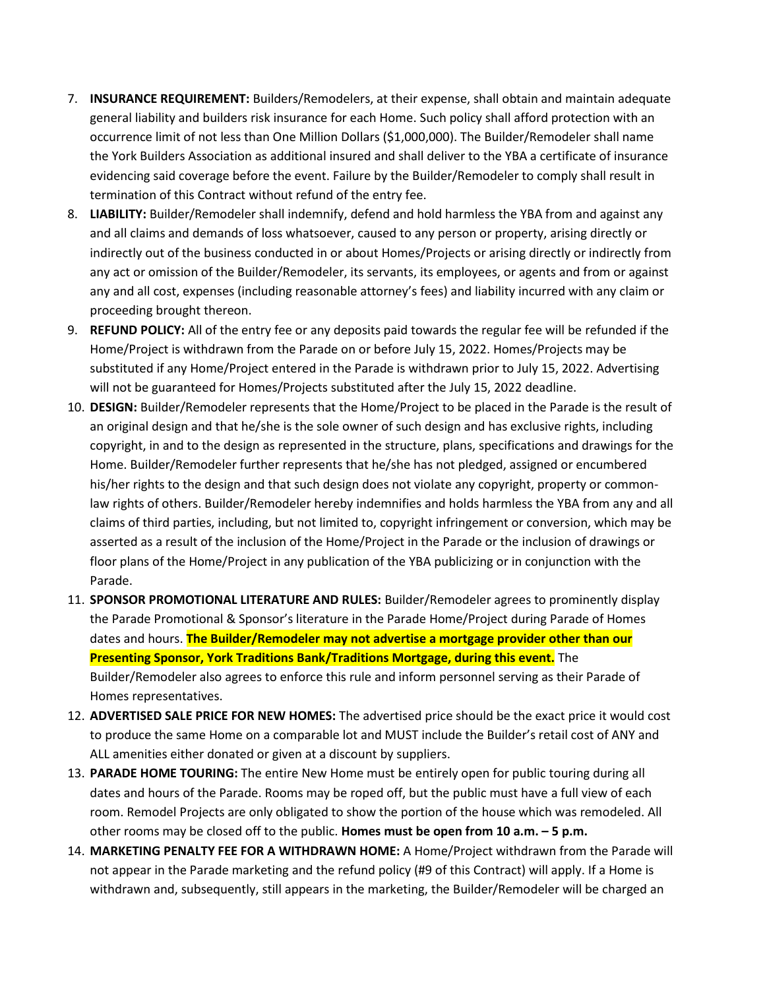- 7. **INSURANCE REQUIREMENT:** Builders/Remodelers, at their expense, shall obtain and maintain adequate general liability and builders risk insurance for each Home. Such policy shall afford protection with an occurrence limit of not less than One Million Dollars (\$1,000,000). The Builder/Remodeler shall name the York Builders Association as additional insured and shall deliver to the YBA a certificate of insurance evidencing said coverage before the event. Failure by the Builder/Remodeler to comply shall result in termination of this Contract without refund of the entry fee.
- 8. **LIABILITY:** Builder/Remodeler shall indemnify, defend and hold harmless the YBA from and against any and all claims and demands of loss whatsoever, caused to any person or property, arising directly or indirectly out of the business conducted in or about Homes/Projects or arising directly or indirectly from any act or omission of the Builder/Remodeler, its servants, its employees, or agents and from or against any and all cost, expenses (including reasonable attorney's fees) and liability incurred with any claim or proceeding brought thereon.
- 9. **REFUND POLICY:** All of the entry fee or any deposits paid towards the regular fee will be refunded if the Home/Project is withdrawn from the Parade on or before July 15, 2022. Homes/Projects may be substituted if any Home/Project entered in the Parade is withdrawn prior to July 15, 2022. Advertising will not be guaranteed for Homes/Projects substituted after the July 15, 2022 deadline.
- 10. **DESIGN:** Builder/Remodeler represents that the Home/Project to be placed in the Parade is the result of an original design and that he/she is the sole owner of such design and has exclusive rights, including copyright, in and to the design as represented in the structure, plans, specifications and drawings for the Home. Builder/Remodeler further represents that he/she has not pledged, assigned or encumbered his/her rights to the design and that such design does not violate any copyright, property or commonlaw rights of others. Builder/Remodeler hereby indemnifies and holds harmless the YBA from any and all claims of third parties, including, but not limited to, copyright infringement or conversion, which may be asserted as a result of the inclusion of the Home/Project in the Parade or the inclusion of drawings or floor plans of the Home/Project in any publication of the YBA publicizing or in conjunction with the Parade.
- 11. **SPONSOR PROMOTIONAL LITERATURE AND RULES:** Builder/Remodeler agrees to prominently display the Parade Promotional & Sponsor's literature in the Parade Home/Project during Parade of Homes dates and hours. **The Builder/Remodeler may not advertise a mortgage provider other than our Presenting Sponsor, York Traditions Bank/Traditions Mortgage, during this event.** The Builder/Remodeler also agrees to enforce this rule and inform personnel serving as their Parade of Homes representatives.
- 12. **ADVERTISED SALE PRICE FOR NEW HOMES:** The advertised price should be the exact price it would cost to produce the same Home on a comparable lot and MUST include the Builder's retail cost of ANY and ALL amenities either donated or given at a discount by suppliers.
- 13. **PARADE HOME TOURING:** The entire New Home must be entirely open for public touring during all dates and hours of the Parade. Rooms may be roped off, but the public must have a full view of each room. Remodel Projects are only obligated to show the portion of the house which was remodeled. All other rooms may be closed off to the public. **Homes must be open from 10 a.m. – 5 p.m.**
- 14. **MARKETING PENALTY FEE FOR A WITHDRAWN HOME:** A Home/Project withdrawn from the Parade will not appear in the Parade marketing and the refund policy (#9 of this Contract) will apply. If a Home is withdrawn and, subsequently, still appears in the marketing, the Builder/Remodeler will be charged an